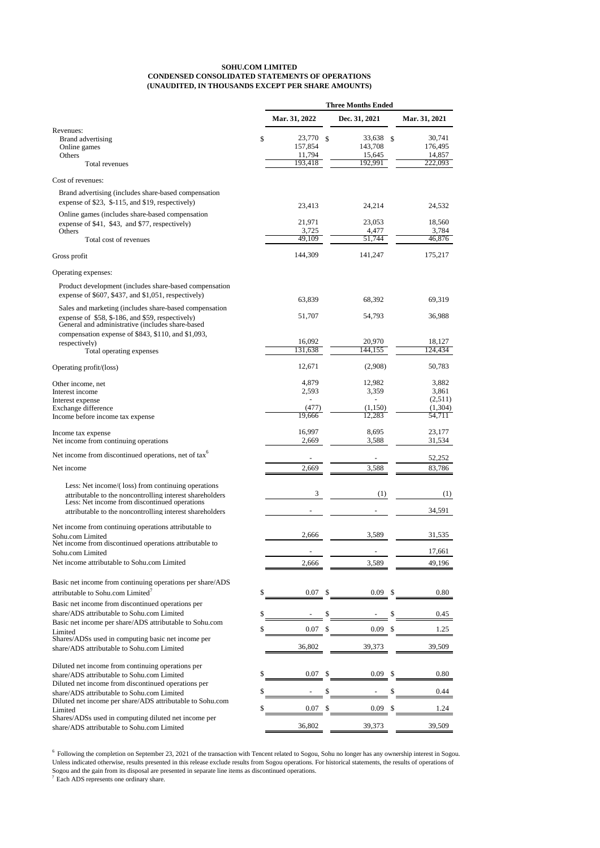Diluted net income from continuing operations per share/ADS attributable to Sohu.com Limited Diluted net income from discontinued operations per  $share/ADS$  attributable to  $Sohu.com$  Limited Diluted net income per share/ADS attributable to Sohu.com Shares/ADSs used in computing diluted net income per share/ADS attributable to Sohu.com Limited

|                                                                                                                                                                 | Mar. 31, 2022                                |               | Dec. 31, 2021                          |               | Mar. 31, 2021                          |
|-----------------------------------------------------------------------------------------------------------------------------------------------------------------|----------------------------------------------|---------------|----------------------------------------|---------------|----------------------------------------|
| Revenues:<br>Brand advertising<br>Online games<br>Others<br>Total revenues                                                                                      | \$<br>23,770<br>157,854<br>11,794<br>193,418 | $\mathcal{S}$ | 33,638<br>143,708<br>15,645<br>192,991 | $\mathcal{S}$ | 30,741<br>176,495<br>14,857<br>222,093 |
| Cost of revenues:                                                                                                                                               |                                              |               |                                        |               |                                        |
| Brand advertising (includes share-based compensation<br>expense of \$23, \$-115, and \$19, respectively)                                                        | 23,413                                       |               | 24,214                                 |               | 24,532                                 |
| Online games (includes share-based compensation<br>expense of \$41, \$43, and \$77, respectively)                                                               | 21,971                                       |               | 23,053                                 |               | 18,560                                 |
| Others<br>Total cost of revenues                                                                                                                                | 3,725<br>49,109                              |               | 4,477<br>51,744                        |               | 3,784<br>46,876                        |
| Gross profit                                                                                                                                                    | 144,309                                      |               | 141,247                                |               | 175,217                                |
| Operating expenses:                                                                                                                                             |                                              |               |                                        |               |                                        |
| Product development (includes share-based compensation<br>expense of \$607, \$437, and \$1,051, respectively)                                                   | 63,839                                       |               | 68,392                                 |               | 69,319                                 |
| Sales and marketing (includes share-based compensation<br>expense of \$58, \$-186, and \$59, respectively)<br>General and administrative (includes share-based  | 51,707                                       |               | 54,793                                 |               | 36,988                                 |
| compensation expense of \$843, \$110, and \$1,093,<br>respectively)<br>Total operating expenses                                                                 | 16,092<br>131,638                            |               | 20,970<br>144,155                      |               | 18,127<br>124,434                      |
| Operating profit/(loss)                                                                                                                                         | 12,671                                       |               | (2,908)                                |               | 50,783                                 |
| Other income, net<br>Interest income<br>Interest expense                                                                                                        | 4,879<br>2,593                               |               | 12,982<br>3,359                        |               | 3,882<br>3,861<br>(2,511)              |
| Exchange difference<br>Income before income tax expense                                                                                                         | (477)<br>19,666                              |               | (1,150)<br>12,283                      |               | (1,304)<br>54,711                      |
| Income tax expense<br>Net income from continuing operations                                                                                                     | 16,997<br>2,669                              |               | 8,695<br>3,588                         |               | 23,177<br>31,534                       |
| Net income from discontinued operations, net of tax <sup>6</sup>                                                                                                |                                              |               |                                        |               | 52,252                                 |
| Net income                                                                                                                                                      | 2,669                                        |               | 3,588                                  |               | 83,786                                 |
| Less: Net income/(loss) from continuing operations<br>attributable to the noncontrolling interest shareholders<br>Less: Net income from discontinued operations | 3                                            |               | (1)                                    |               | (1)                                    |
| attributable to the noncontrolling interest shareholders                                                                                                        |                                              |               |                                        |               | 34,591                                 |
| Net income from continuing operations attributable to<br>Sohu.com Limited                                                                                       | 2,666                                        |               | 3,589                                  |               | 31,535                                 |
| Net income from discontinued operations attributable to<br>Sohu.com Limited                                                                                     |                                              |               |                                        |               | 17,661                                 |
| Net income attributable to Sohu.com Limited                                                                                                                     | 2,666                                        |               | 3,589                                  |               | 49,196                                 |
| Basic net income from continuing operations per share/ADS                                                                                                       |                                              |               |                                        |               |                                        |
| attributable to Sohu.com Limited <sup>7</sup>                                                                                                                   | \$<br>0.07                                   | \$            | 0.09                                   | \$            | 0.80                                   |
| Basic net income from discontinued operations per<br>share/ADS attributable to Sohu.com Limited                                                                 | \$                                           |               |                                        | \$            |                                        |
| Basic net income per share/ADS attributable to Sohu.com                                                                                                         |                                              | \$            |                                        |               | 0.45                                   |
| Limited<br>Shares/ADSs used in computing basic net income per                                                                                                   | \$<br>0.07                                   | \$            | 0.09                                   | S             | 1.25                                   |
| share/ADS attributable to Sohu.com Limited                                                                                                                      | 36,802                                       |               | 39,373                                 |               | 39,509                                 |

<sup>6</sup> Following the completion on September 23, 2021 of the transaction with Tencent related to Sogou, Sohu no longer has any ownership interest in Sogou. Unless indicated otherwise, results presented in this release exclude results from Sogou operations. For historical statements, the results of operations of Sogou and the gain from its disposal are presented in separate line items as discontinued operations.

| share/ADS attributable to Sohu.com Limited                | 0.07   | 0.09   | 0.80   |
|-----------------------------------------------------------|--------|--------|--------|
| Diluted net income from discontinued operations per       |        |        |        |
| share/ADS attributable to Sohu.com Limited                |        |        | 0.44   |
| Diluted net income per share/ADS attributable to Sohu.com |        |        |        |
| Limited                                                   | 0.07   | 0.09   | 1.24   |
| Shares/ADSs used in computing diluted net income per      |        |        |        |
| share/ADS attributable to Sohu.com Limited                | 36,802 | 39.373 | 39,509 |

## **SOHU.COM LIMITED CONDENSED CONSOLIDATED STATEMENTS OF OPERATIONS (UNAUDITED, IN THOUSANDS EXCEPT PER SHARE AMOUNTS)**

<sup>7</sup>Each ADS represents one ordinary share.